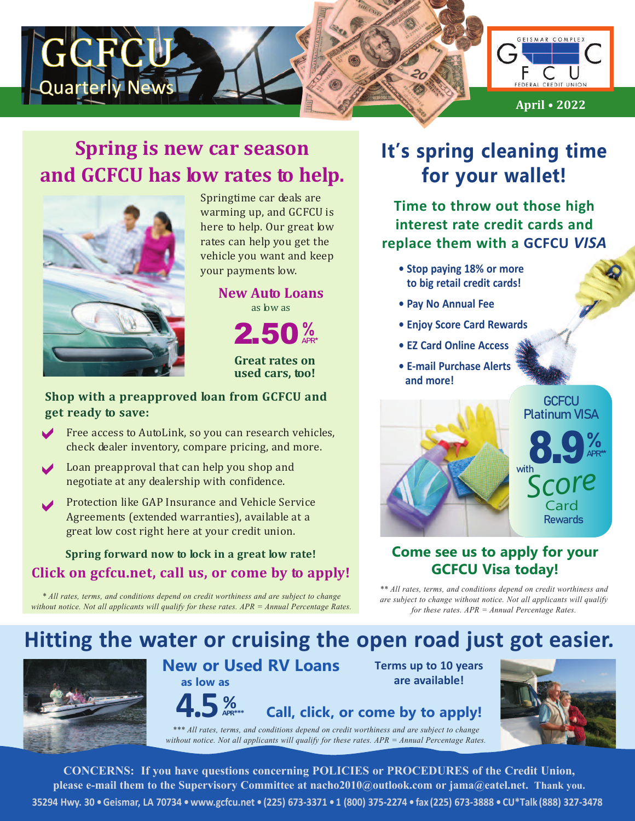

## **Spring is new car season and GCFCU has low rates to help.**



Springtime car deals are warming up, and GCFCU is here to help. Our great low rates can help you get the vehicle you want and keep your payments low.

> 2.50% **New Auto Loans** as low as

> > **Great rates on used cars, too!**

#### **Shop with a preapproved loan from GCFCU and get ready to save:**

- Free access to AutoLink, so you can research vehicles, check dealer inventory, compare pricing, and more.
- Loan preapproval that can help you shop and<br>measurists at any dealership with earlidence negotiate at any dealership with confidence.
- Protection like GAP Insurance and Vehicle Service Agreements (extended warranties), available at a great low cost right here at your credit union. a

#### **Spring forward now to lock in a great low rate! Click on gcfcu.net, call us, or come by to apply!**

*\* All rates, terms, and conditions depend on credit worthiness and are subject to change without notice. Not all applicants will qualify for these rates. APR = Annual Percentage Rates.*

# **It's spring cleaning time for your wallet!**

**Time to throw out those high interest rate credit cards and replace them with a GCFCU** *VISA*

- **• Stop paying 18% or more to big retail credit cards!**
- **• Pay No Annual Fee**
- **• Enjoy Score Card Rewards**
- **• EZ Card Online Access**
- **• E-mail Purchase Alerts and more!**



#### **Come see us to apply for your GCFCU Visa today!**

*\*\* All rates, terms, and conditions depend on credit worthiness and are subject to change without notice. Not all applicants will qualify for these rates. APR = Annual Percentage Rates.*

# **Hitting the water or cruising the open road just got easier.**



### **New or Used RV Loans as low as**

**Terms up to 10 years are available!**

**APR\*\*\* Call, click, or come by to apply!**

**4.5 %** *\*\*\* All rates, terms, and conditions depend on credit worthiness and are subject to change without notice. Not all applicants will qualify for these rates. APR = Annual Percentage Rates.*

**CONCERNS: If you have questions concerning POLICIES or PROCEDURES of the Credit Union, please e-mail them to the Supervisory Committee at nacho2010@outlook.com or jama@eatel.net. Thank you.** 35294 Hwy. 30 · Geismar, LA 70734 · www.gcfcu.net · (225) 673-3371 · 1 (800) 375-2274 · fax (225) 673-3888 · CU\*Talk (888) 327-3478